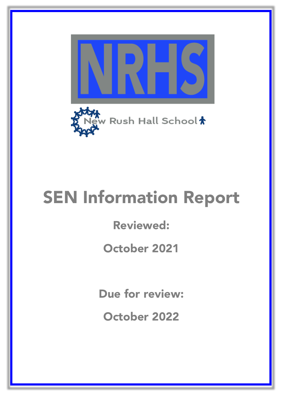

# SEN Information Report

Reviewed:

October 2021

Due for review:

October 2022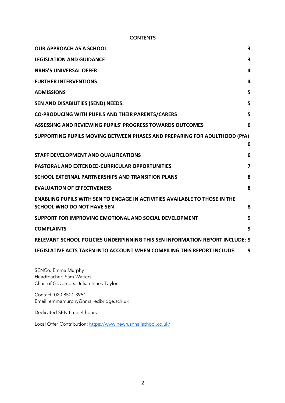#### **CONTENTS**

| <b>OUR APPROACH AS A SCHOOL</b>                                                   | 3 |
|-----------------------------------------------------------------------------------|---|
| <b>LEGISLATION AND GUIDANCE</b>                                                   | 3 |
| <b>NRHS'S UNIVERSAL OFFER</b>                                                     | 4 |
| <b>FURTHER INTERVENTIONS</b>                                                      | 4 |
| <b>ADMISSIONS</b>                                                                 | 5 |
| SEN AND DISABILITIES (SEND) NEEDS:                                                | 5 |
| <b>CO-PRODUCING WITH PUPILS AND THEIR PARENTS/CARERS</b>                          | 5 |
| ASSESSING AND REVIEWING PUPILS' PROGRESS TOWARDS OUTCOMES                         | 6 |
| SUPPORTING PUPILS MOVING BETWEEN PHASES AND PREPARING FOR ADULTHOOD (PfA)         |   |
|                                                                                   | 6 |
| STAFF DEVELOPMENT AND QUALIFICATIONS                                              | 6 |
| <b>PASTORAL AND EXTENDED-CURRICULAR OPPORTUNITIES</b>                             | 7 |
| <b>SCHOOL EXTERNAL PARTNERSHIPS AND TRANSITION PLANS</b>                          | 8 |
| <b>EVALUATION OF EFFECTIVENESS</b>                                                | 8 |
| <b>ENABLING PUPILS WITH SEN TO ENGAGE IN ACTIVITIES AVAILABLE TO THOSE IN THE</b> |   |
| <b>SCHOOL WHO DO NOT HAVE SEN</b>                                                 | 8 |
| SUPPORT FOR IMPROVING EMOTIONAL AND SOCIAL DEVELOPMENT                            | 9 |
| <b>COMPLAINTS</b>                                                                 | 9 |
| RELEVANT SCHOOL POLICIES UNDERPINNING THIS SEN INFORMATION REPORT INCLUDE: 9      |   |
| LEGISLATIVE ACTS TAKEN INTO ACCOUNT WHEN COMPILING THIS REPORT INCLUDE:           | 9 |
|                                                                                   |   |

SENCo: Emma Murphy Headteacher: Sam Walters Chair of Governors: Julian Innes-Taylor

Contact: 020 8501 3951 Email: emmamurphy@nrhs.redbridge.sch.uk

Dedicated SEN time: 4 hours

Local Offer Contribution: https://www.newrushhallschool.co.uk/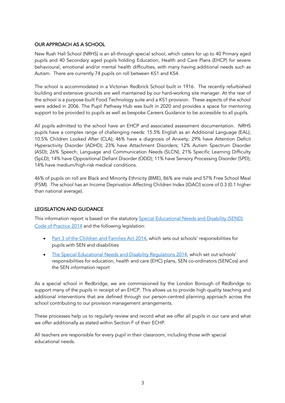#### OUR APPROACH AS A SCHOOL

New Rush Hall School (NRHS) is an all-through special school, which caters for up to 40 Primary aged pupils and 40 Secondary aged pupils holding Education, Health and Care Plans (EHCP) for severe behavioural, emotional and/or mental health difficulties, with many having additional needs such as Autism. There are currently 74 pupils on roll between KS1 and KS4.

The school is accommodated in a Victorian Redbrick School built in 1916. The recently refurbished building and extensive grounds are well maintained by our hard-working site manager. At the rear of the school is a purpose-built Food Technology suite and a KS1 provision. These aspects of the school were added in 2006. The Pupil Pathway Hub was built in 2020 and provides a space for mentoring support to be provided to pupils as well as bespoke Careers Guidance to be accessible to all pupils.

All pupils admitted to the school have an EHCP and associated assessment documentation. NRHS pupils have a complex range of challenging needs: 15.5% English as an Additional Language (EAL); 10.5% Children Looked After (CLA); 46% have a diagnosis of Anxiety; 29% have Attention Deficit Hyperactivity Disorder (ADHD); 23% have Attachment Disorders; 12% Autism Spectrum Disorder (ASD); 26% Speech, Language and Communication Needs (SLCN), 21% Specific Learning Difficulty (SpLD); 14% have Oppositional Defiant Disorder (ODD); 11% have Sensory Processing Disorder (SPD); 14% have medium/high-risk medical conditions.

46% of pupils on roll are Black and Minority Ethnicity (BME), 86% are male and 57% Free School Meal (FSM). The school has an Income Deprivation Affecting Children Index (IDACI) score of 0.3 (0.1 higher than national average).

## LEGISLATION AND GUIDANCE

This information report is based on the statutory Special Educational Needs and Disability (SEND) Code of Practice 2014 and the following legislation:

- Part 3 of the Children and Families Act 2014, which sets out schools' responsibilities for pupils with SEN and disabilities
- The Special Educational Needs and Disability Regulations 2014, which set out schools' responsibilities for education, health and care (EHC) plans, SEN co-ordinators (SENCos) and the SEN information report

As a special school in Redbridge, we are commissioned by the London Borough of Redbridge to support many of the pupils in receipt of an EHCP. This allows us to provide high quality teaching and additional interventions that are defined through our person-centred planning approach across the school contributing to our provision management arrangements.

These processes help us to regularly review and record what we offer all pupils in our care and what we offer additionally as stated within Section F of their ECHP.

All teachers are responsible for every pupil in their classroom, including those with special educational needs.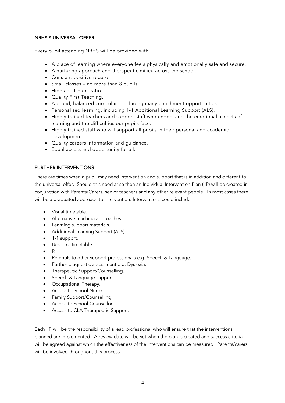#### NRHS'S UNIVERSAL OFFER

Every pupil attending NRHS will be provided with:

- A place of learning where everyone feels physically and emotionally safe and secure.
- A nurturing approach and therapeutic milieu across the school.
- Constant positive regard.
- Small classes no more than 8 pupils.
- High adult-pupil ratio.
- Quality First Teaching.
- A broad, balanced curriculum, including many enrichment opportunities.
- Personalised learning, including 1-1 Additional Learning Support (ALS).
- Highly trained teachers and support staff who understand the emotional aspects of learning and the difficulties our pupils face.
- Highly trained staff who will support all pupils in their personal and academic development.
- Quality careers information and guidance.
- Equal access and opportunity for all.

## FURTHER INTERVENTIONS

There are times when a pupil may need intervention and support that is in addition and different to the universal offer. Should this need arise then an Individual Intervention Plan (IIP) will be created in conjunction with Parents/Carers, senior teachers and any other relevant people. In most cases there will be a graduated approach to intervention. Interventions could include:

- Visual timetable.
- Alternative teaching approaches.
- Learning support materials.
- Additional Learning Support (ALS).
- 1-1 support.
- Bespoke timetable.
- R
- Referrals to other support professionals e.g. Speech & Language.
- Further diagnostic assessment e.g. Dyslexia.
- Therapeutic Support/Counselling.
- Speech & Language support.
- Occupational Therapy.
- Access to School Nurse.
- Family Support/Counselling.
- Access to School Counsellor.
- Access to CLA Therapeutic Support.

Each IIP will be the responsibility of a lead professional who will ensure that the interventions planned are implemented. A review date will be set when the plan is created and success criteria will be agreed against which the effectiveness of the interventions can be measured. Parents/carers will be involved throughout this process.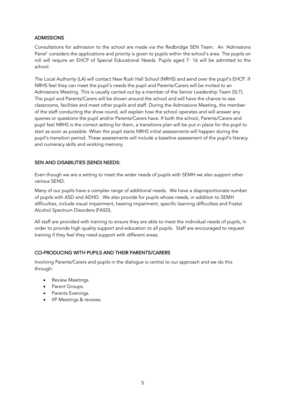#### **ADMISSIONS**

Consultations for admission to the school are made via the Redbridge SEN Team. An 'Admissions Panel' considers the applications and priority is given to pupils within the school's area. The pupils on roll will require an EHCP of Special Educational Needs. Pupils aged 7- 16 will be admitted to the school.

The Local Authority (LA) will contact New Rush Hall School (NRHS) and send over the pupil's EHCP. If NRHS feel they can meet the pupil's needs the pupil and Parents/Carers will be invited to an Admissions Meeting. This is usually carried out by a member of the Senior Leadership Team (SLT). The pupil and Parents/Carers will be shown around the school and will have the chance to see classrooms, facilities and meet other pupils and staff. During the Admissions Meeting, the member of the staff conducting the show round, will explain how the school operates and will answer any queries or questions the pupil and/or Parents/Carers have. If both the school, Parents/Carers and pupil feel NRHS is the correct setting for them, a transitions plan will be put in place for the pupil to start as soon as possible. When the pupil starts NRHS initial assessments will happen during the pupil's transition period. These assessments will include a baseline assessment of the pupil's literacy and numeracy skills and working memory.

## SEN AND DISABILITIES (SEND) NEEDS:

Even though we are a setting to meet the wider needs of pupils with SEMH we also support other various SEND.

Many of our pupils have a complex range of additional needs. We have a disproportionate number of pupils with ASD and ADHD. We also provide for pupils whose needs, in addition to SEMH difficulties, include visual impairment, hearing impairment, specific learning difficulties and Foetal Alcohol Spectrum Disorders (FASD).

All staff are provided with training to ensure they are able to meet the individual needs of pupils, in order to provide high quality support and education to all pupils. Staff are encouraged to request training if they feel they need support with different areas.

## CO-PRODUCING WITH PUPILS AND THEIR PARENTS/CARERS

Involving Parents/Carers and pupils in the dialogue is central to our approach and we do this through:

- Review Meetings.
- Parent Groups.
- Parents Evenings.
- IIP Meetings & reviews.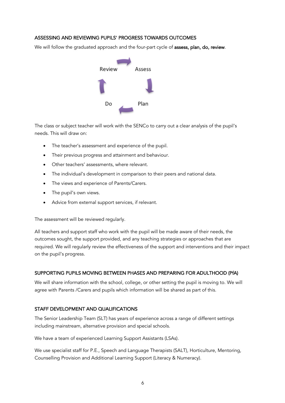#### ASSESSING AND REVIEWING PUPILS' PROGRESS TOWARDS OUTCOMES

We will follow the graduated approach and the four-part cycle of assess, plan, do, review.



The class or subject teacher will work with the SENCo to carry out a clear analysis of the pupil's needs. This will draw on:

- The teacher's assessment and experience of the pupil.
- Their previous progress and attainment and behaviour.
- Other teachers' assessments, where relevant.
- The individual's development in comparison to their peers and national data.
- The views and experience of Parents/Carers.
- The pupil's own views.
- Advice from external support services, if relevant.

The assessment will be reviewed regularly.

All teachers and support staff who work with the pupil will be made aware of their needs, the outcomes sought, the support provided, and any teaching strategies or approaches that are required. We will regularly review the effectiveness of the support and interventions and their impact on the pupil's progress.

## SUPPORTING PUPILS MOVING BETWEEN PHASES AND PREPARING FOR ADULTHOOD (PfA)

We will share information with the school, college, or other setting the pupil is moving to. We will agree with Parents /Carers and pupils which information will be shared as part of this.

## STAFF DEVELOPMENT AND QUALIFICATIONS

The Senior Leadership Team (SLT) has years of experience across a range of different settings including mainstream, alternative provision and special schools.

We have a team of experienced Learning Support Assistants (LSAs).

We use specialist staff for P.E., Speech and Language Therapists (SALT), Horticulture, Mentoring, Counselling Provision and Additional Learning Support (Literacy & Numeracy).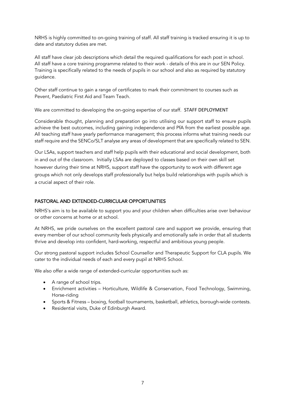NRHS is highly committed to on-going training of staff. All staff training is tracked ensuring it is up to date and statutory duties are met.

All staff have clear job descriptions which detail the required qualifications for each post in school. All staff have a core training programme related to their work - details of this are in our SEN Policy. Training is specifically related to the needs of pupils in our school and also as required by statutory guidance.

Other staff continue to gain a range of certificates to mark their commitment to courses such as Pevent, Paediatric First Aid and Team Teach.

We are committed to developing the on-going expertise of our staff. STAFF DEPLOYMENT

Considerable thought, planning and preparation go into utilising our support staff to ensure pupils achieve the best outcomes, including gaining independence and PfA from the earliest possible age. All teaching staff have yearly performance management; this process informs what training needs our staff require and the SENCo/SLT analyse any areas of development that are specifically related to SEN.

Our LSAs, support teachers and staff help pupils with their educational and social development, both in and out of the classroom. Initially LSAs are deployed to classes based on their own skill set however during their time at NRHS, support staff have the opportunity to work with different age groups which not only develops staff professionally but helps build relationships with pupils which is a crucial aspect of their role.

## PASTORAL AND EXTENDED-CURRICULAR OPPORTUNITIES

NRHS's aim is to be available to support you and your children when difficulties arise over behaviour or other concerns at home or at school.

At NRHS, we pride ourselves on the excellent pastoral care and support we provide, ensuring that every member of our school community feels physically and emotionally safe in order that all students thrive and develop into confident, hard-working, respectful and ambitious young people.

Our strong pastoral support includes School Counsellor and Therapeutic Support for CLA pupils. We cater to the individual needs of each and every pupil at NRHS School.

We also offer a wide range of extended-curricular opportunities such as:

- A range of school trips.
- Enrichment activities Horticulture, Wildlife & Conservation, Food Technology, Swimming, Horse-riding
- Sports & Fitness boxing, football tournaments, basketball, athletics, borough-wide contests.
- Residential visits, Duke of Edinburgh Award.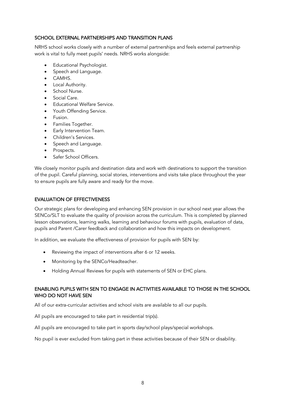#### SCHOOL EXTERNAL PARTNERSHIPS AND TRANSITION PLANS

NRHS school works closely with a number of external partnerships and feels external partnership work is vital to fully meet pupils' needs. NRHS works alongside:

- Educational Psychologist.
- Speech and Language.
- CAMHS.
- Local Authority.
- School Nurse.
- Social Care.
- **Educational Welfare Service.**
- Youth Offending Service.
- Fusion.
- Families Together.
- Early Intervention Team.
- Children's Services.
- Speech and Language.
- Prospects.
- Safer School Officers.

We closely monitor pupils and destination data and work with destinations to support the transition of the pupil. Careful planning, social stories, interventions and visits take place throughout the year to ensure pupils are fully aware and ready for the move.

#### EVALUATION OF EFFECTIVENESS

Our strategic plans for developing and enhancing SEN provision in our school next year allows the SENCo/SLT to evaluate the quality of provision across the curriculum. This is completed by planned lesson observations, learning walks, learning and behaviour forums with pupils, evaluation of data, pupils and Parent /Carer feedback and collaboration and how this impacts on development.

In addition, we evaluate the effectiveness of provision for pupils with SEN by:

- Reviewing the impact of interventions after 6 or 12 weeks.
- Monitoring by the SENCo/Headteacher.
- Holding Annual Reviews for pupils with statements of SEN or EHC plans.

#### ENABLING PUPILS WITH SEN TO ENGAGE IN ACTIVITIES AVAILABLE TO THOSE IN THE SCHOOL WHO DO NOT HAVE SEN

All of our extra-curricular activities and school visits are available to all our pupils.

All pupils are encouraged to take part in residential trip(s).

All pupils are encouraged to take part in sports day/school plays/special workshops.

No pupil is ever excluded from taking part in these activities because of their SEN or disability.